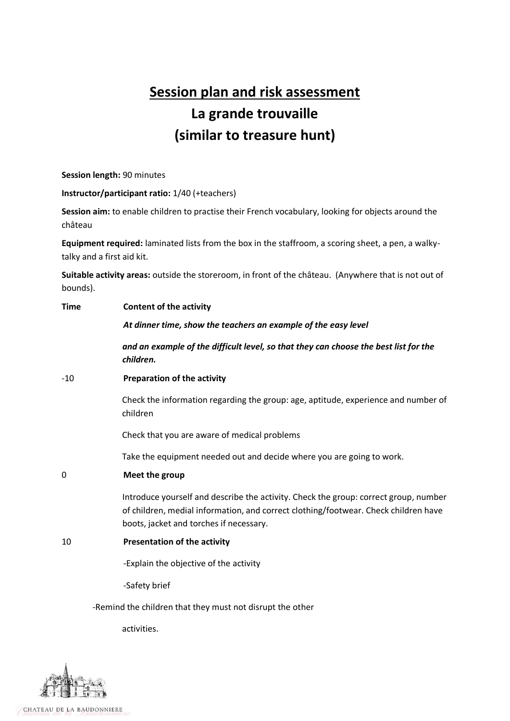# **Session plan and risk assessment La grande trouvaille (similar to treasure hunt)**

**Session length:** 90 minutes

**Instructor/participant ratio:** 1/40 (+teachers)

**Session aim:** to enable children to practise their French vocabulary, looking for objects around the château

**Equipment required:** laminated lists from the box in the staffroom, a scoring sheet, a pen, a walkytalky and a first aid kit.

**Suitable activity areas:** outside the storeroom, in front of the château. (Anywhere that is not out of bounds).

| <b>Time</b>                                               | <b>Content of the activity</b>                                                                                                                                                                                         |  |  |  |  |  |
|-----------------------------------------------------------|------------------------------------------------------------------------------------------------------------------------------------------------------------------------------------------------------------------------|--|--|--|--|--|
|                                                           | At dinner time, show the teachers an example of the easy level                                                                                                                                                         |  |  |  |  |  |
|                                                           | and an example of the difficult level, so that they can choose the best list for the<br>children.                                                                                                                      |  |  |  |  |  |
| $-10$                                                     | <b>Preparation of the activity</b>                                                                                                                                                                                     |  |  |  |  |  |
|                                                           | Check the information regarding the group: age, aptitude, experience and number of<br>children                                                                                                                         |  |  |  |  |  |
|                                                           | Check that you are aware of medical problems                                                                                                                                                                           |  |  |  |  |  |
|                                                           | Take the equipment needed out and decide where you are going to work.                                                                                                                                                  |  |  |  |  |  |
| 0                                                         | Meet the group                                                                                                                                                                                                         |  |  |  |  |  |
|                                                           | Introduce yourself and describe the activity. Check the group: correct group, number<br>of children, medial information, and correct clothing/footwear. Check children have<br>boots, jacket and torches if necessary. |  |  |  |  |  |
| 10                                                        | <b>Presentation of the activity</b>                                                                                                                                                                                    |  |  |  |  |  |
|                                                           | -Explain the objective of the activity                                                                                                                                                                                 |  |  |  |  |  |
|                                                           | -Safety brief                                                                                                                                                                                                          |  |  |  |  |  |
| -Remind the children that they must not disrupt the other |                                                                                                                                                                                                                        |  |  |  |  |  |

activities.

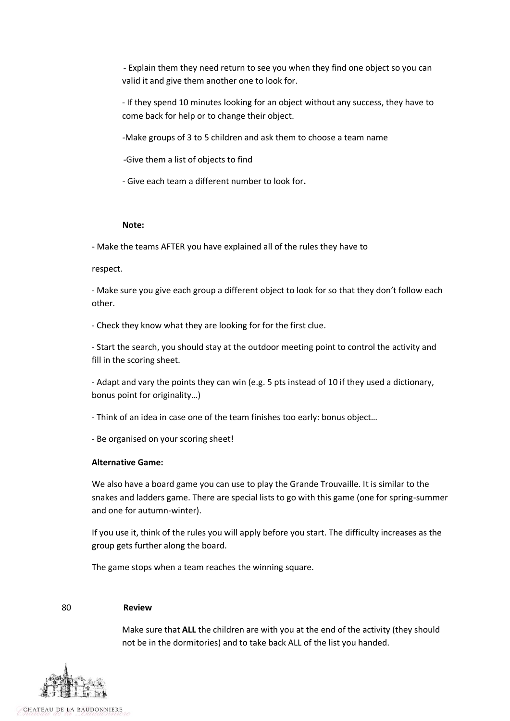- Explain them they need return to see you when they find one object so you can valid it and give them another one to look for.

- If they spend 10 minutes looking for an object without any success, they have to come back for help or to change their object.

-Make groups of 3 to 5 children and ask them to choose a team name

-Give them a list of objects to find

- Give each team a different number to look for**.**

### **Note:**

- Make the teams AFTER you have explained all of the rules they have to

#### respect.

- Make sure you give each group a different object to look for so that they don't follow each other.

- Check they know what they are looking for for the first clue.

- Start the search, you should stay at the outdoor meeting point to control the activity and fill in the scoring sheet.

- Adapt and vary the points they can win (e.g. 5 pts instead of 10 if they used a dictionary, bonus point for originality…)

- Think of an idea in case one of the team finishes too early: bonus object…

- Be organised on your scoring sheet!

#### **Alternative Game:**

We also have a board game you can use to play the Grande Trouvaille. It is similar to the snakes and ladders game. There are special lists to go with this game (one for spring-summer and one for autumn-winter).

If you use it, think of the rules you will apply before you start. The difficulty increases as the group gets further along the board.

The game stops when a team reaches the winning square.

#### 80 **Review**

Make sure that **ALL** the children are with you at the end of the activity (they should not be in the dormitories) and to take back ALL of the list you handed.

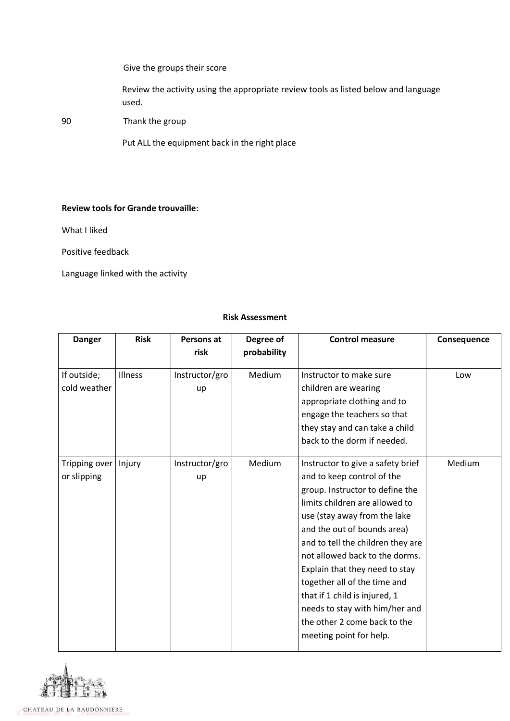Give the groups their score

Review the activity using the appropriate review tools as listed below and language used.

90 Thank the group

Put ALL the equipment back in the right place

## **Review tools for Grande trouvaille**:

What I liked

Positive feedback

Language linked with the activity

## **Risk Assessment**

| <b>Danger</b>                | <b>Risk</b> | Persons at<br>risk   | Degree of<br>probability | <b>Control measure</b>                                                                                                                                                                                                                                                                                                                                                                                                                                                     | Consequence |
|------------------------------|-------------|----------------------|--------------------------|----------------------------------------------------------------------------------------------------------------------------------------------------------------------------------------------------------------------------------------------------------------------------------------------------------------------------------------------------------------------------------------------------------------------------------------------------------------------------|-------------|
| If outside;<br>cold weather  | Illness     | Instructor/gro<br>up | Medium                   | Instructor to make sure<br>children are wearing<br>appropriate clothing and to<br>engage the teachers so that<br>they stay and can take a child<br>back to the dorm if needed.                                                                                                                                                                                                                                                                                             | Low         |
| Tripping over<br>or slipping | Injury      | Instructor/gro<br>up | Medium                   | Instructor to give a safety brief<br>and to keep control of the<br>group. Instructor to define the<br>limits children are allowed to<br>use (stay away from the lake<br>and the out of bounds area)<br>and to tell the children they are<br>not allowed back to the dorms.<br>Explain that they need to stay<br>together all of the time and<br>that if 1 child is injured, 1<br>needs to stay with him/her and<br>the other 2 come back to the<br>meeting point for help. | Medium      |



CHATEAU DE LA BAUDONNIERE